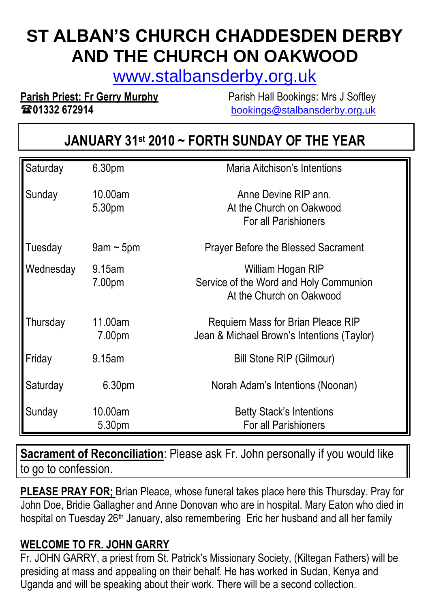# **ST ALBAN'S CHURCH CHADDESDEN DERBY AND THE CHURCH ON OAKWOOD**

[www.stalbansderby.org.uk](http://www.stalbansderby.org.uk/)

**Parish Priest: Fr Gerry Murphy** Parish Hall Bookings: Mrs J Softley

**01332 672914** [bookings@stalbansderby.org.uk](mailto:bookings@stalbansderby.org.uk)

# **JANUARY 31st 2010 ~ FORTH SUNDAY OF THE YEAR**

| Saturday  | 6.30pm          | Maria Aitchison's Intentions               |
|-----------|-----------------|--------------------------------------------|
|           |                 |                                            |
| Sunday    | 10.00am         | Anne Devine RIP ann.                       |
|           | 5.30pm          | At the Church on Oakwood                   |
|           |                 | For all Parishioners                       |
| Tuesday   | $9$ am ~ $5$ pm | <b>Prayer Before the Blessed Sacrament</b> |
| Wednesday | 9.15am          | William Hogan RIP                          |
|           | 7.00pm          | Service of the Word and Holy Communion     |
|           |                 | At the Church on Oakwood                   |
| Thursday  | 11.00am         | Requiem Mass for Brian Pleace RIP          |
|           | 7.00pm          | Jean & Michael Brown's Intentions (Taylor) |
| Friday    | 9.15am          | <b>Bill Stone RIP (Gilmour)</b>            |
| Saturday  | 6.30pm          | Norah Adam's Intentions (Noonan)           |
|           |                 |                                            |
| Sunday    | 10.00am         | <b>Betty Stack's Intentions</b>            |
|           | 5.30pm          | For all Parishioners                       |

**Sacrament of Reconciliation**: Please ask Fr. John personally if you would like to go to confession.

**PLEASE PRAY FOR;** Brian Pleace, whose funeral takes place here this Thursday. Pray for John Doe, Bridie Gallagher and Anne Donovan who are in hospital. Mary Eaton who died in hospital on Tuesday 26<sup>th</sup> January, also remembering Eric her husband and all her family

#### **WELCOME TO FR. JOHN GARRY**

Fr. JOHN GARRY, a priest from St. Patrick's Missionary Society, (Kiltegan Fathers) will be presiding at mass and appealing on their behalf. He has worked in Sudan, Kenya and Uganda and will be speaking about their work. There will be a second collection.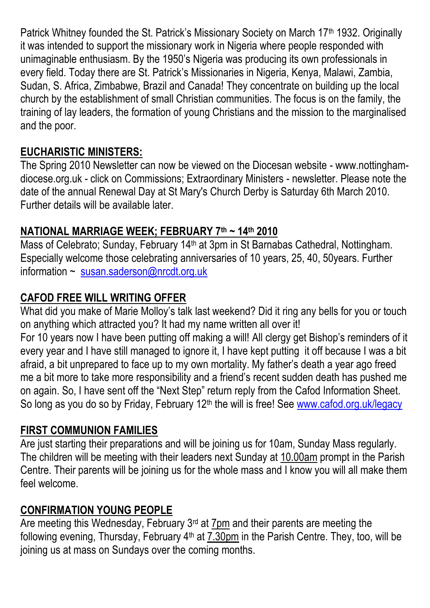Patrick Whitney founded the St. Patrick's Missionary Society on March 17th 1932. Originally it was intended to support the missionary work in Nigeria where people responded with unimaginable enthusiasm. By the 1950's Nigeria was producing its own professionals in every field. Today there are St. Patrick's Missionaries in Nigeria, Kenya, Malawi, Zambia, Sudan, S. Africa, Zimbabwe, Brazil and Canada! They concentrate on building up the local church by the establishment of small Christian communities. The focus is on the family, the training of lay leaders, the formation of young Christians and the mission to the marginalised and the poor.

# **EUCHARISTIC MINISTERS:**

The Spring 2010 Newsletter can now be viewed on the Diocesan website - www.nottinghamdiocese.org.uk - click on Commissions; Extraordinary Ministers - newsletter. Please note the date of the annual Renewal Day at St Mary's Church Derby is Saturday 6th March 2010. Further details will be available later.

## **NATIONAL MARRIAGE WEEK; FEBRUARY 7th ~ 14th 2010**

Mass of Celebrato; Sunday, February 14th at 3pm in St Barnabas Cathedral, Nottingham. Especially welcome those celebrating anniversaries of 10 years, 25, 40, 50years. Further information ~ [susan.saderson@nrcdt.org.uk](mailto:susan.saderson@nrcdt.org.uk)

# **CAFOD FREE WILL WRITING OFFER**

What did you make of Marie Molloy's talk last weekend? Did it ring any bells for you or touch on anything which attracted you? It had my name written all over it! For 10 years now I have been putting off making a will! All clergy get Bishop's reminders of it every year and I have still managed to ignore it, I have kept putting it off because I was a bit afraid, a bit unprepared to face up to my own mortality. My father's death a year ago freed me a bit more to take more responsibility and a friend's recent sudden death has pushed me on again. So, I have sent off the "Next Step" return reply from the Cafod Information Sheet. So long as you do so by Friday, February 12<sup>th</sup> the will is free! See www.cafod.org.uk/legacy

## **FIRST COMMUNION FAMILIES**

Are just starting their preparations and will be joining us for 10am, Sunday Mass regularly. The children will be meeting with their leaders next Sunday at 10.00am prompt in the Parish Centre. Their parents will be joining us for the whole mass and I know you will all make them feel welcome.

# **CONFIRMATION YOUNG PEOPLE**

Are meeting this Wednesday, February 3<sup>rd</sup> at 7pm and their parents are meeting the following evening, Thursday, February 4<sup>th</sup> at 7.30pm in the Parish Centre. They, too, will be joining us at mass on Sundays over the coming months.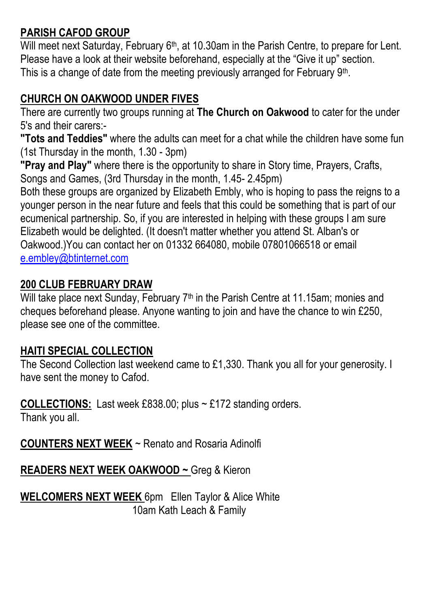# **PARISH CAFOD GROUP**

Will meet next Saturday, February 6<sup>th</sup>, at 10.30am in the Parish Centre, to prepare for Lent. Please have a look at their website beforehand, especially at the "Give it up" section. This is a change of date from the meeting previously arranged for February 9<sup>th</sup>.

#### **CHURCH ON OAKWOOD UNDER FIVES**

There are currently two groups running at **The Church on Oakwood** to cater for the under 5's and their carers:-

**"Tots and Teddies"** where the adults can meet for a chat while the children have some fun (1st Thursday in the month, 1.30 - 3pm)

**"Pray and Play"** where there is the opportunity to share in Story time, Prayers, Crafts, Songs and Games, (3rd Thursday in the month, 1.45- 2.45pm)

Both these groups are organized by Elizabeth Embly, who is hoping to pass the reigns to a younger person in the near future and feels that this could be something that is part of our ecumenical partnership. So, if you are interested in helping with these groups I am sure Elizabeth would be delighted. (It doesn't matter whether you attend St. Alban's or Oakwood.)You can contact her on 01332 664080, mobile 07801066518 or email [e.embley@btinternet.com](mailto:e.embley@btinternet.com)

#### **200 CLUB FEBRUARY DRAW**

Will take place next Sunday, February 7<sup>th</sup> in the Parish Centre at 11.15am; monies and cheques beforehand please. Anyone wanting to join and have the chance to win £250, please see one of the committee.

#### **HAITI SPECIAL COLLECTION**

The Second Collection last weekend came to £1,330. Thank you all for your generosity. I have sent the money to Cafod.

**COLLECTIONS:** Last week £838.00; plus ~ £172 standing orders.

Thank you all.

**COUNTERS NEXT WEEK** ~ Renato and Rosaria Adinolfi

**READERS NEXT WEEK OAKWOOD ~** Greg & Kieron

**WELCOMERS NEXT WEEK** 6pm Ellen Taylor & Alice White 10am Kath Leach & Family